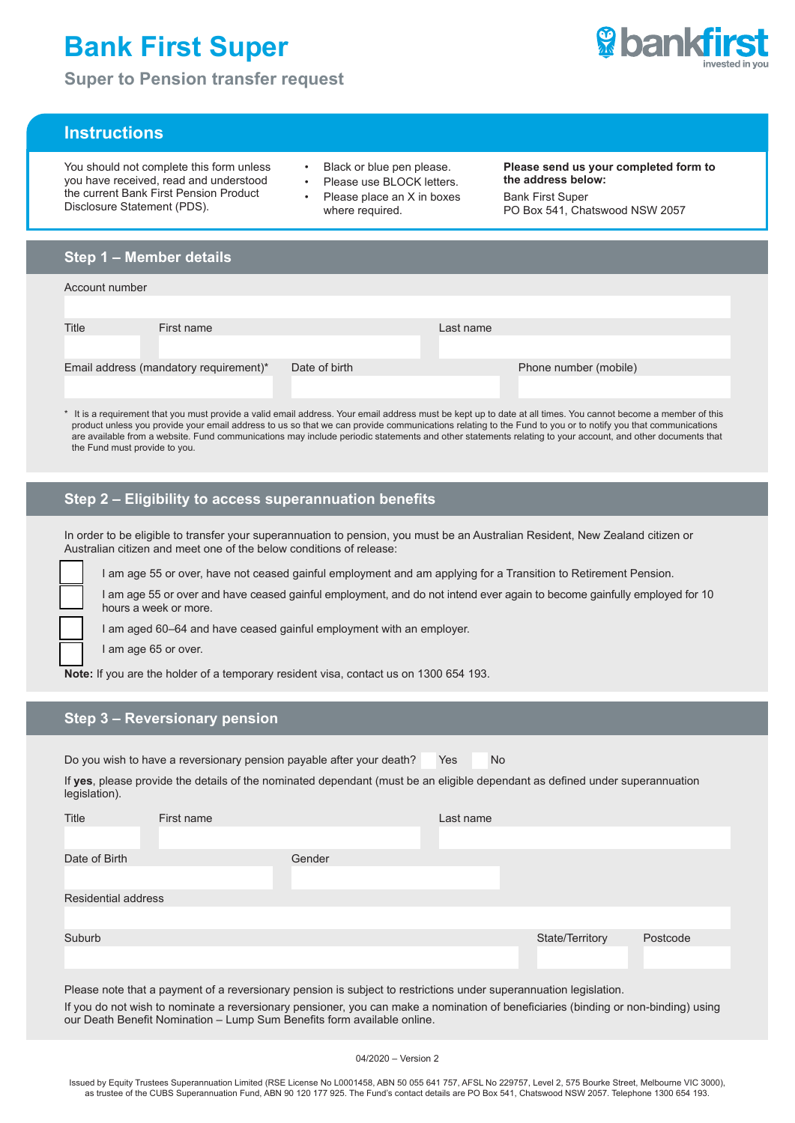# **Bank First Super**

**Super to Pension transfer request**



# **Instructions**

You should not complete this form unless you have received, read and understood the current Bank First Pension Product Disclosure Statement (PDS).

- Black or blue pen please.
- Please use BLOCK letters. Please place an X in boxes where required.

**Please send us your completed form to the address below:** Bank First Super PO Box 541, Chatswood NSW 2057

# **Step 1 – Member details**

| Account number                         |            |               |           |                       |
|----------------------------------------|------------|---------------|-----------|-----------------------|
|                                        |            |               |           |                       |
| Title                                  | First name |               | Last name |                       |
|                                        |            |               |           |                       |
| Email address (mandatory requirement)* |            | Date of birth |           | Phone number (mobile) |
|                                        |            |               |           |                       |

\* It is a requirement that you must provide a valid email address. Your email address must be kept up to date at all times. You cannot become a member of this product unless you provide your email address to us so that we can provide communications relating to the Fund to you or to notify you that communications are available from a website. Fund communications may include periodic statements and other statements relating to your account, and other documents that the Fund must provide to you.

## **Step 2 – Eligibility to access superannuation benefits**

In order to be eligible to transfer your superannuation to pension, you must be an Australian Resident, New Zealand citizen or Australian citizen and meet one of the below conditions of release:

I am age 55 or over, have not ceased gainful employment and am applying for a Transition to Retirement Pension.

I am age 55 or over and have ceased gainful employment, and do not intend ever again to become gainfully employed for 10 hours a week or more.

I am aged 60–64 and have ceased gainful employment with an employer.

I am age 65 or over.

**Note:** If you are the holder of a temporary resident visa, contact us on 1300 654 193.

## **Step 3 – Reversionary pension**

Do you wish to have a reversionary pension payable after your death? Yes No

If **yes**, please provide the details of the nominated dependant (must be an eligible dependant as defined under superannuation legislation).

| Title                      | First name |        | Last name |                 |          |
|----------------------------|------------|--------|-----------|-----------------|----------|
|                            |            |        |           |                 |          |
| Date of Birth              |            | Gender |           |                 |          |
|                            |            |        |           |                 |          |
| <b>Residential address</b> |            |        |           |                 |          |
|                            |            |        |           |                 |          |
| Suburb                     |            |        |           | State/Territory | Postcode |
|                            |            |        |           |                 |          |
|                            |            |        |           |                 |          |

Please note that a payment of a reversionary pension is subject to restrictions under superannuation legislation.

If you do not wish to nominate a reversionary pensioner, you can make a nomination of beneficiaries (binding or non-binding) using our Death Benefit Nomination – Lump Sum Benefits form available online.

04/2020 – Version 2

Issued by Equity Trustees Superannuation Limited (RSE License No L0001458, ABN 50 055 641 757, AFSL No 229757, Level 2, 575 Bourke Street, Melbourne VIC 3000), as trustee of the CUBS Superannuation Fund, ABN 90 120 177 925. The Fund's contact details are PO Box 541, Chatswood NSW 2057. Telephone 1300 654 193.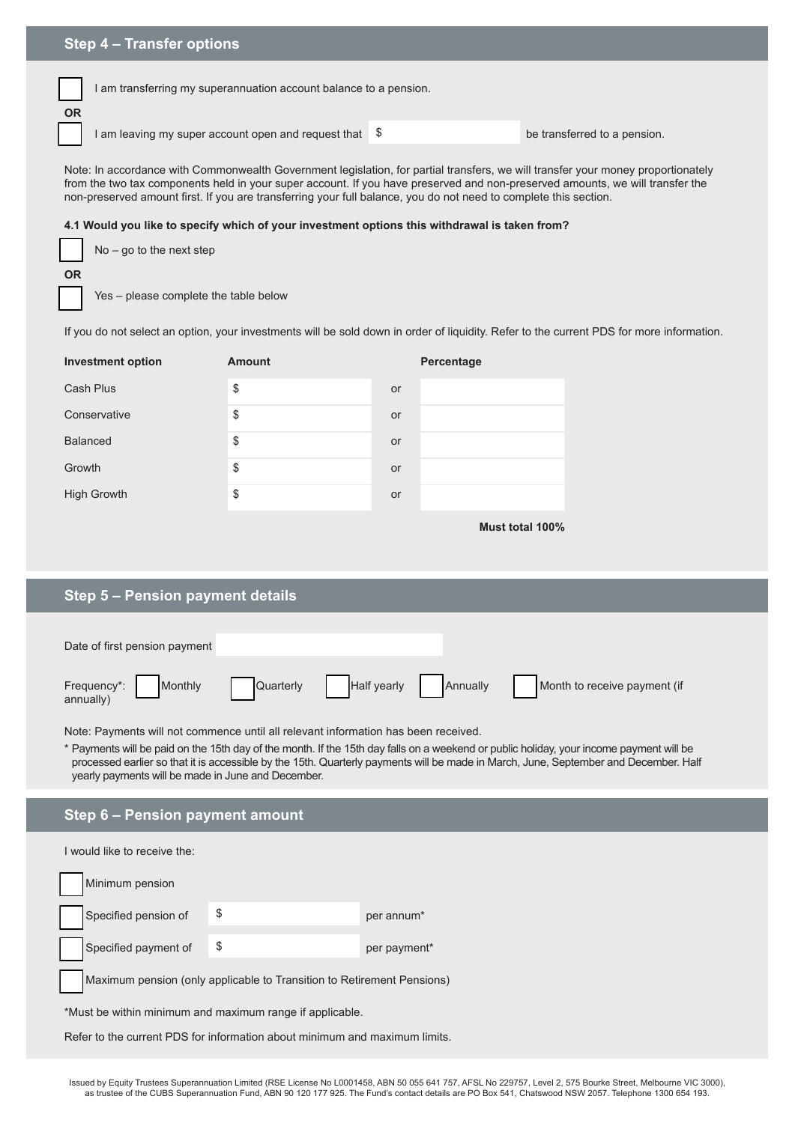**OR**

I am transferring my superannuation account balance to a pension.

I am leaving my super account open and request that  $\phi$  **be transferred to a pension.** 

Note: In accordance with Commonwealth Government legislation, for partial transfers, we will transfer your money proportionately from the two tax components held in your super account. If you have preserved and non-preserved amounts, we will transfer the non-preserved amount first. If you are transferring your full balance, you do not need to complete this section.

#### **4.1 Would you like to specify which of your investment options this withdrawal is taken from?**

|           | $No - go to the next step$ |
|-----------|----------------------------|
| <b>OR</b> |                            |

Yes – please complete the table below

If you do not select an option, your investments will be sold down in order of liquidity. Refer to the current PDS for more information.

| <b>Investment option</b> | <b>Amount</b> | Percentage |
|--------------------------|---------------|------------|
| Cash Plus                | \$            | or         |
| Conservative             | \$            | or         |
| <b>Balanced</b>          | \$            | <b>or</b>  |
| Growth                   | \$            | <b>or</b>  |
| <b>High Growth</b>       | \$            | <b>or</b>  |

**Must total 100%**

# **Step 5 – Pension payment details**

| Date of first pension payment              |           |             |          |                              |
|--------------------------------------------|-----------|-------------|----------|------------------------------|
| Frequency*:<br><b>Monthly</b><br>annually) | Quarterly | Half yearly | Annually | Month to receive payment (if |

Note: Payments will not commence until all relevant information has been received.

\* Payments will be paid on the 15th day of the month. If the 15th day falls on a weekend or public holiday, your income payment will be processed earlier so that it is accessible by the 15th. Quarterly payments will be made in March, June, September and December. Half yearly payments will be made in June and December.

# **Step 6 – Pension payment amount**

I would like to receive the:

| Minimum pension      |                                                                        |              |
|----------------------|------------------------------------------------------------------------|--------------|
| Specified pension of |                                                                        | per annum*   |
| Specified payment of | \$                                                                     | per payment* |
|                      | Maximum pension (only applicable to Transition to Retirement Pensions) |              |

\*Must be within minimum and maximum range if applicable.

Refer to the current PDS for information about minimum and maximum limits.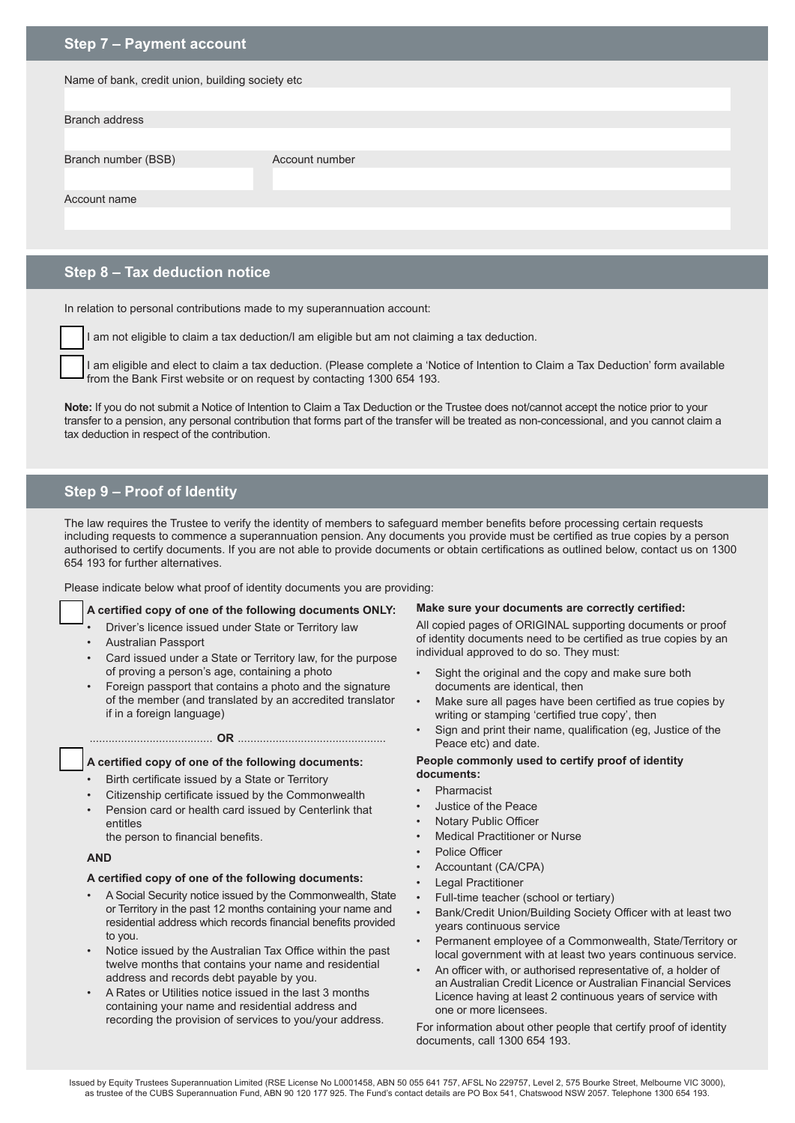## **Step 7 – Payment account**

| Name of bank, credit union, building society etc |                |  |  |
|--------------------------------------------------|----------------|--|--|
|                                                  |                |  |  |
| <b>Branch address</b>                            |                |  |  |
|                                                  |                |  |  |
| Branch number (BSB)                              | Account number |  |  |
|                                                  |                |  |  |
| Account name                                     |                |  |  |
|                                                  |                |  |  |
|                                                  |                |  |  |

# **Step 8 – Tax deduction notice**

In relation to personal contributions made to my superannuation account:

I am not eligible to claim a tax deduction/I am eligible but am not claiming a tax deduction.

I am eligible and elect to claim a tax deduction. (Please complete a 'Notice of Intention to Claim a Tax Deduction' form available from the Bank First website or on request by contacting 1300 654 193.

**Note:** If you do not submit a Notice of Intention to Claim a Tax Deduction or the Trustee does not/cannot accept the notice prior to your transfer to a pension, any personal contribution that forms part of the transfer will be treated as non-concessional, and you cannot claim a tax deduction in respect of the contribution.

# **Step 9 – Proof of Identity**

The law requires the Trustee to verify the identity of members to safeguard member benefits before processing certain requests including requests to commence a superannuation pension. Any documents you provide must be certified as true copies by a person authorised to certify documents. If you are not able to provide documents or obtain certifications as outlined below, contact us on 1300 654 193 for further alternatives.

Please indicate below what proof of identity documents you are providing:

#### **A certified copy of one of the following documents ONLY:**

- Driver's licence issued under State or Territory law
- Australian Passport
- Card issued under a State or Territory law, for the purpose of proving a person's age, containing a photo
- Foreign passport that contains a photo and the signature of the member (and translated by an accredited translator if in a foreign language)

## ....................................... **OR** ...............................................

#### **A certified copy of one of the following documents:**

- Birth certificate issued by a State or Territory
- Citizenship certificate issued by the Commonwealth
- Pension card or health card issued by Centerlink that entitles

the person to financial benefits.

### **AND**

### **A certified copy of one of the following documents:**

- A Social Security notice issued by the Commonwealth, State or Territory in the past 12 months containing your name and residential address which records financial benefits provided to you.
- Notice issued by the Australian Tax Office within the past twelve months that contains your name and residential address and records debt payable by you.
- A Rates or Utilities notice issued in the last 3 months containing your name and residential address and recording the provision of services to you/your address.

#### **Make sure your documents are correctly certified:**

All copied pages of ORIGINAL supporting documents or proof of identity documents need to be certified as true copies by an individual approved to do so. They must:

- Sight the original and the copy and make sure both documents are identical, then
- Make sure all pages have been certified as true copies by writing or stamping 'certified true copy', then
- Sign and print their name, qualification (eg, Justice of the Peace etc) and date.

#### **People commonly used to certify proof of identity documents:**

- Pharmacist
- Justice of the Peace
- **Notary Public Officer**
- **Medical Practitioner or Nurse**
- Police Officer
- Accountant (CA/CPA)
- **Legal Practitioner**
- Full-time teacher (school or tertiary)
- Bank/Credit Union/Building Society Officer with at least two years continuous service
- Permanent employee of a Commonwealth, State/Territory or local government with at least two years continuous service.
- An officer with, or authorised representative of, a holder of an Australian Credit Licence or Australian Financial Services Licence having at least 2 continuous years of service with one or more licensees.

For information about other people that certify proof of identity documents, call 1300 654 193.